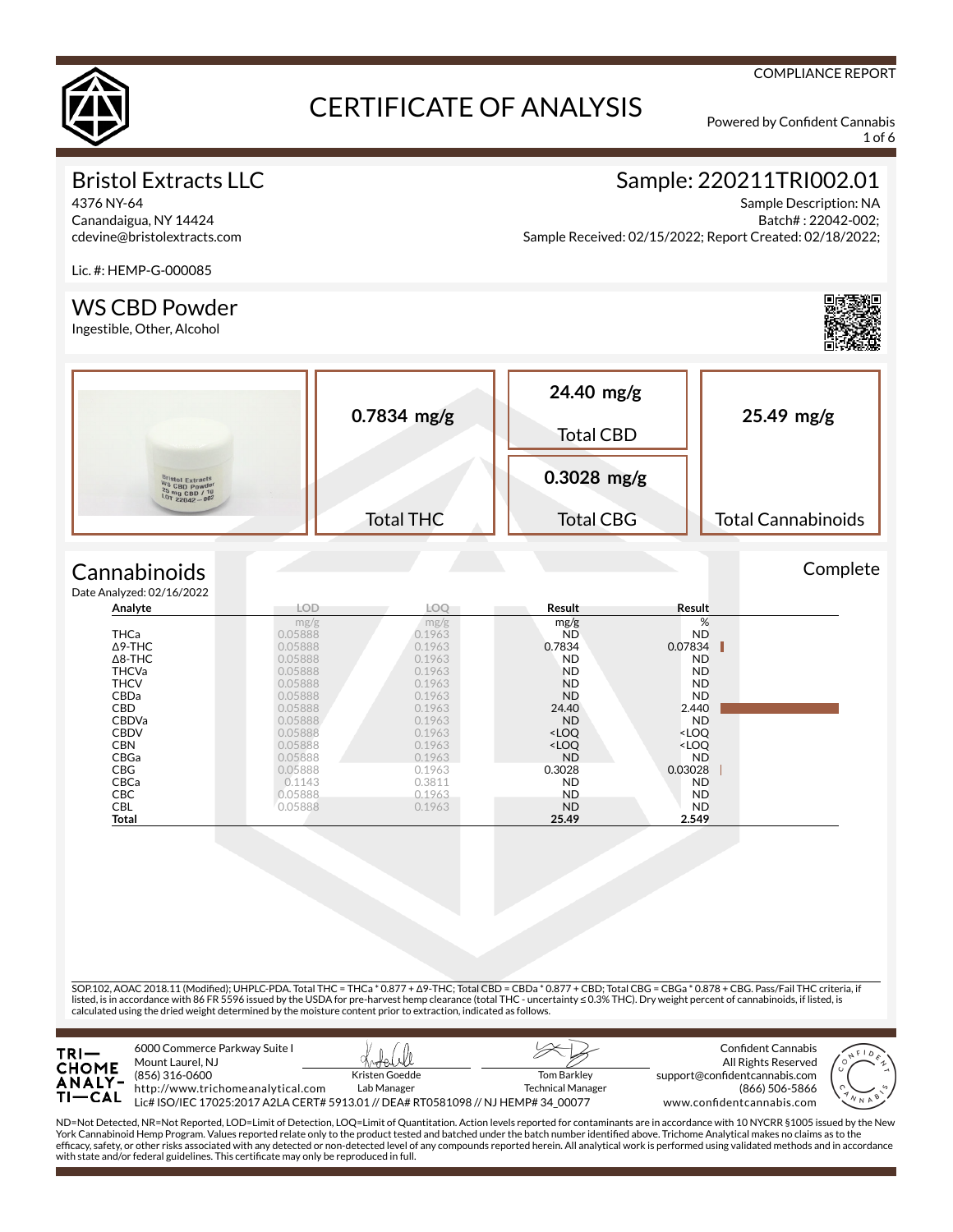

1 of 6

# Bristol Extracts LLC

4376 NY-64 Canandaigua, NY 14424 cdevine@bristolextracts.com

# Sample: 220211TRI002.01

Sample Description: NA Batch# : 22042-002; Sample Received: 02/15/2022; Report Created: 02/18/2022;

Lic. #: HEMP-G-000085

## WS CBD Powder

Ingestible, Other, Alcohol



SOP.102, AOAC 2018.11 (Modied); UHPLC-PDA. Total THC = THCa \* 0.877 + Δ9-THC; Total CBD = CBDa \* 0.877 + CBD; Total CBG = CBGa \* 0.878 + CBG. Pass/Fail THC criteria, if listed, is in accordance with 86 FR 5596 issued by the USDA for pre-harvest hemp clearance (total THC - uncertainty ≤ 0.3% THC). Dry weight percent of cannabinoids, if listed, is calculated using the dried weight determined by the moisture content prior to extraction, indicated as follows.

| $TRI-$<br><b>CHOME</b><br><b>ANALY-</b><br>TI—CAL | 6000 Commerce Parkway Suite I<br>Mount Laurel, NJ<br>(856) 316-0600<br>http://www.trichomeanalytical.com<br>Lic# ISO/IEC 17025:2017 A2LA CERT# 5913.01 // DEA# RT0581098 // NJ HEMP# 34 00077 | Kristen Goedde<br>Lab Manager | <b>Tom Barkley</b><br><b>Technical Manager</b> | Confident Cannabis<br>All Rights Reserved<br>support@confidentcannabis.com<br>(866) 506-5866<br>www.confidentcannabis.com | N N A |
|---------------------------------------------------|-----------------------------------------------------------------------------------------------------------------------------------------------------------------------------------------------|-------------------------------|------------------------------------------------|---------------------------------------------------------------------------------------------------------------------------|-------|
|---------------------------------------------------|-----------------------------------------------------------------------------------------------------------------------------------------------------------------------------------------------|-------------------------------|------------------------------------------------|---------------------------------------------------------------------------------------------------------------------------|-------|

ND=Not Detected, NR=Not Reported, LOD=Limit of Detection, LOQ=Limit of Quantitation. Action levels reported for contaminants are in accordance with 10 NYCRR §1005 issued by the New<br>York Cannabinoid Hemp Program. Values rep efcacy, safety, or other risks associated with any detected or non-detected level of any compounds reported herein. All analytical work is performed using validated methods and in accordance with state and/or federal guidelines. This certificate may only be reproduced in full.



#### COMPLIANCE REPORT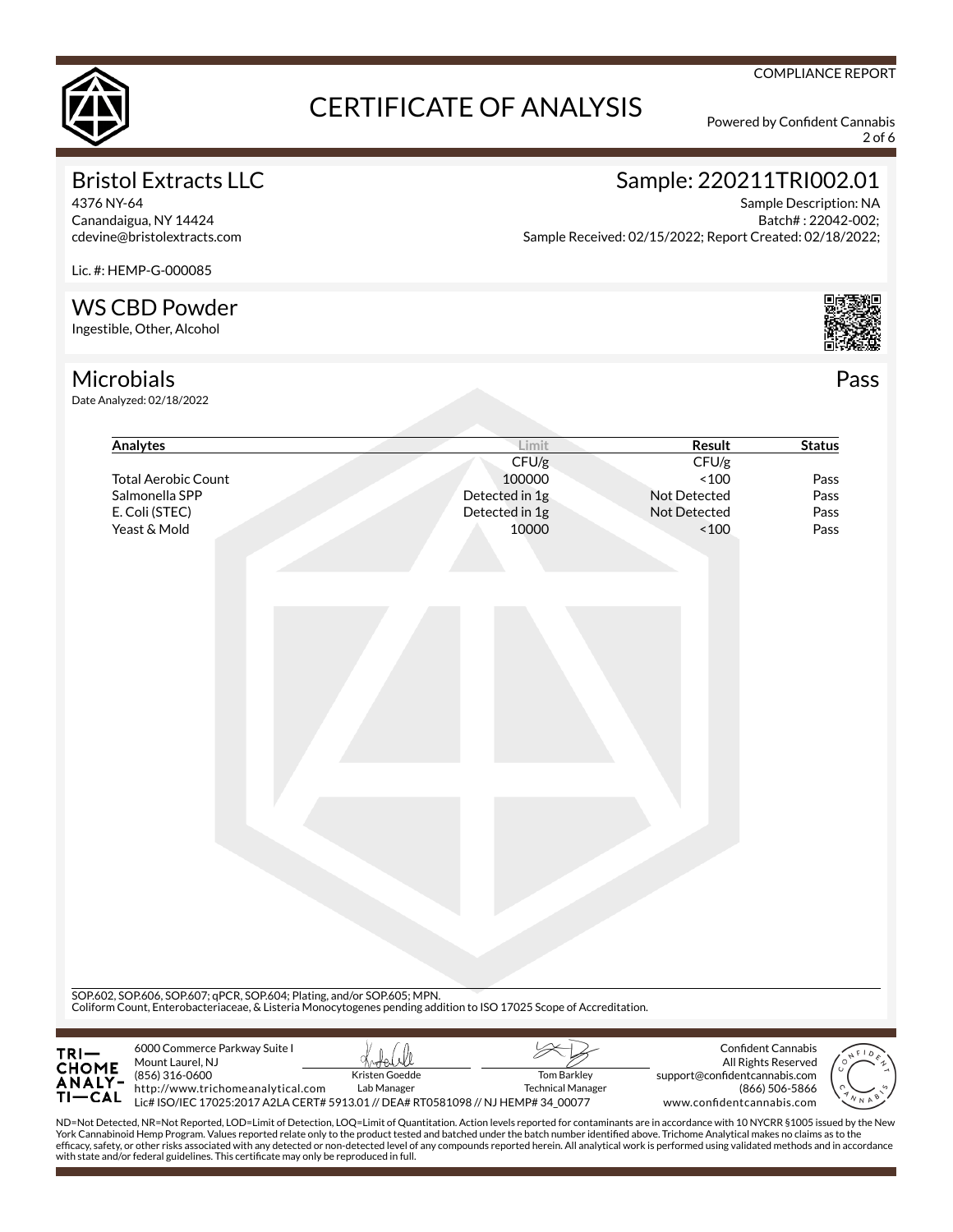

2 of 6

# Bristol Extracts LLC

4376 NY-64 Canandaigua, NY 14424 cdevine@bristolextracts.com

# Sample: 220211TRI002.01

Sample Description: NA Batch# : 22042-002; Sample Received: 02/15/2022; Report Created: 02/18/2022;

Lic. #: HEMP-G-000085

## WS CBD Powder

Ingestible, Other, Alcohol

# **Microbials**

Date Analyzed: 02/18/2022

| Analytes                                                                               | Limit                                                                                                                                                                                         | Result                        | <b>Status</b>      |
|----------------------------------------------------------------------------------------|-----------------------------------------------------------------------------------------------------------------------------------------------------------------------------------------------|-------------------------------|--------------------|
|                                                                                        | CFU/g                                                                                                                                                                                         | CFU/g                         |                    |
| <b>Total Aerobic Count</b>                                                             | 100000                                                                                                                                                                                        | ~100                          | Pass               |
| Salmonella SPP                                                                         | Detected in 1g                                                                                                                                                                                | Not Detected                  | Pass               |
| E. Coli (STEC)                                                                         | Detected in 1g                                                                                                                                                                                | Not Detected                  | Pass               |
| Yeast & Mold                                                                           | 10000                                                                                                                                                                                         | ~100                          | Pass               |
|                                                                                        | SOP.602, SOP.606, SOP.607; qPCR, SOP.604; Plating, and/or SOP.605; MPN.<br>Coliform Count, Enterobacteriaceae, & Listeria Monocytogenes pending addition to ISO 17025 Scope of Accreditation. |                               |                    |
|                                                                                        |                                                                                                                                                                                               |                               |                    |
| 6000 Commerce Parkway Suite I<br>TRI—<br>CHOME<br>ANALY-<br>TI—CAL<br>Mount Laurel, NJ |                                                                                                                                                                                               |                               | Confident Cannabis |
|                                                                                        |                                                                                                                                                                                               | All Rights Reserved           |                    |
| (856) 316-0600                                                                         | Kristen Goedde<br><b>Tom Barkley</b>                                                                                                                                                          | support@confidentcannabis.com |                    |

ND=Not Detected, NR=Not Reported, LOD=Limit of Detection, LOQ=Limit of Quantitation. Action levels reported for contaminants are in accordance with 10 NYCRR §1005 issued by the New<br>York Cannabinoid Hemp Program. Values rep efcacy, safety, or other risks associated with any detected or non-detected level of any compounds reported herein. All analytical work is performed using validated methods and in accordance with state and/or federal guidelines. This certificate may only be reproduced in full.



Pass

#### COMPLIANCE REPORT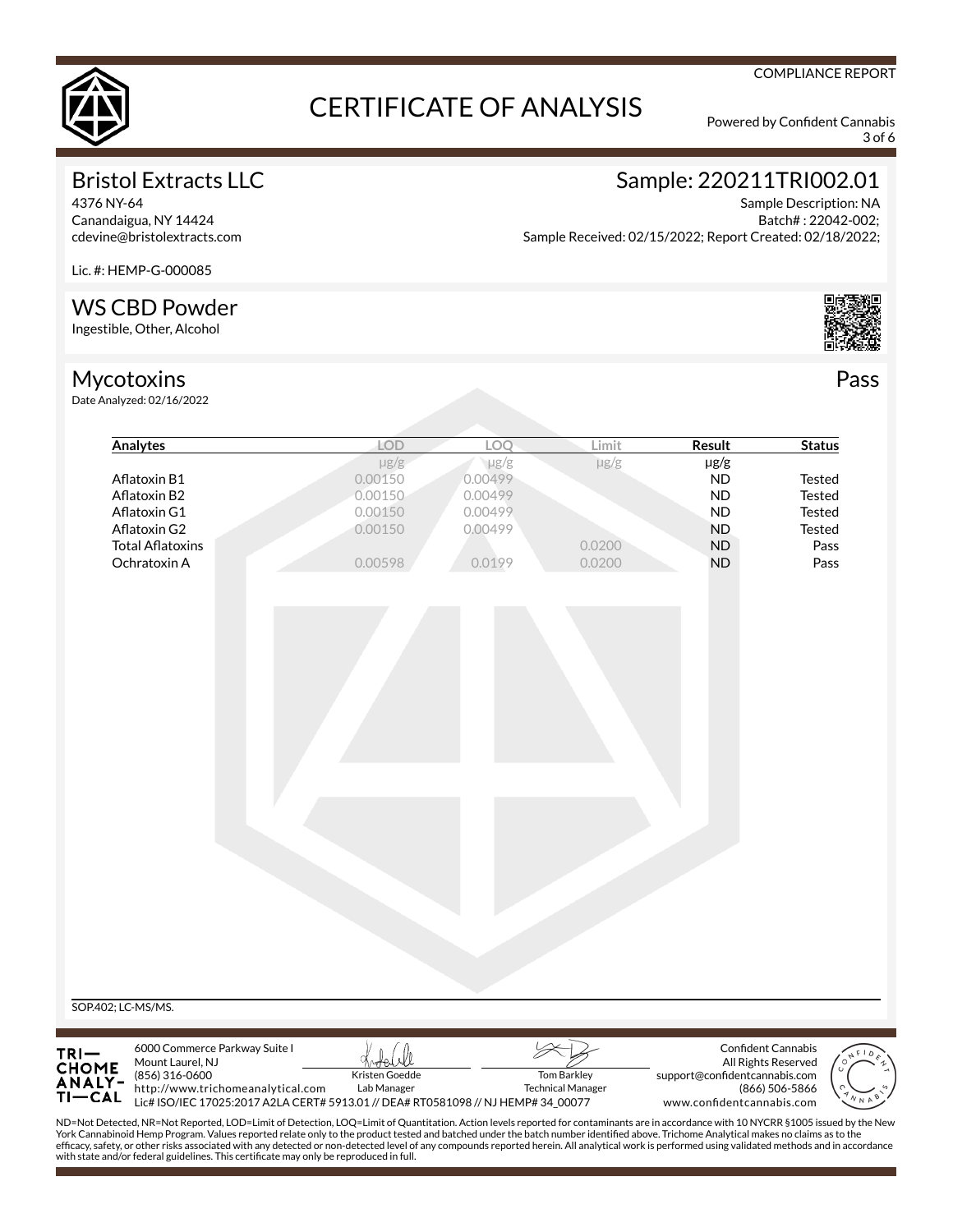

3 of 6

COMPLIANCE REPORT

# Bristol Extracts LLC

4376 NY-64 Canandaigua, NY 14424 cdevine@bristolextracts.com

# Sample: 220211TRI002.01

Sample Description: NA Batch# : 22042-002; Sample Received: 02/15/2022; Report Created: 02/18/2022;

Lic. #: HEMP-G-000085

# WS CBD Powder

Ingestible, Other, Alcohol

# Mycotoxins

Date Analyzed: 02/16/2022



Pass

| Analytes                                                                                                                                                                                                                                                                                                                                                                    | <b>LOD</b>     | LOQ                                                                               | Limit                    | Result                        | <b>Status</b>             |
|-----------------------------------------------------------------------------------------------------------------------------------------------------------------------------------------------------------------------------------------------------------------------------------------------------------------------------------------------------------------------------|----------------|-----------------------------------------------------------------------------------|--------------------------|-------------------------------|---------------------------|
|                                                                                                                                                                                                                                                                                                                                                                             | $\mu$ g/g      | $\mu$ g/g                                                                         | $\mu$ g/g                | $\mu$ g/g                     |                           |
| Aflatoxin B1                                                                                                                                                                                                                                                                                                                                                                | 0.00150        | 0.00499                                                                           |                          | <b>ND</b>                     | <b>Tested</b>             |
| Aflatoxin B2                                                                                                                                                                                                                                                                                                                                                                | 0.00150        | 0.00499                                                                           |                          | <b>ND</b>                     | <b>Tested</b>             |
| Aflatoxin G1                                                                                                                                                                                                                                                                                                                                                                | 0.00150        | 0.00499                                                                           |                          | <b>ND</b>                     | <b>Tested</b>             |
| Aflatoxin G2                                                                                                                                                                                                                                                                                                                                                                | 0.00150        | 0.00499                                                                           |                          | <b>ND</b>                     | Tested                    |
| <b>Total Aflatoxins</b>                                                                                                                                                                                                                                                                                                                                                     |                |                                                                                   | 0.0200                   | <b>ND</b>                     | Pass                      |
| Ochratoxin A                                                                                                                                                                                                                                                                                                                                                                | 0.00598        | 0.0199                                                                            | 0.0200                   | <b>ND</b>                     | Pass                      |
|                                                                                                                                                                                                                                                                                                                                                                             |                |                                                                                   |                          |                               |                           |
|                                                                                                                                                                                                                                                                                                                                                                             |                |                                                                                   |                          |                               |                           |
|                                                                                                                                                                                                                                                                                                                                                                             |                |                                                                                   |                          |                               |                           |
|                                                                                                                                                                                                                                                                                                                                                                             |                |                                                                                   |                          |                               |                           |
|                                                                                                                                                                                                                                                                                                                                                                             |                |                                                                                   |                          |                               |                           |
|                                                                                                                                                                                                                                                                                                                                                                             |                |                                                                                   |                          |                               |                           |
|                                                                                                                                                                                                                                                                                                                                                                             |                |                                                                                   |                          |                               |                           |
|                                                                                                                                                                                                                                                                                                                                                                             |                |                                                                                   |                          |                               |                           |
|                                                                                                                                                                                                                                                                                                                                                                             |                |                                                                                   |                          |                               |                           |
|                                                                                                                                                                                                                                                                                                                                                                             |                |                                                                                   |                          |                               |                           |
|                                                                                                                                                                                                                                                                                                                                                                             |                |                                                                                   |                          |                               |                           |
|                                                                                                                                                                                                                                                                                                                                                                             |                |                                                                                   |                          |                               |                           |
|                                                                                                                                                                                                                                                                                                                                                                             |                |                                                                                   |                          |                               |                           |
|                                                                                                                                                                                                                                                                                                                                                                             |                |                                                                                   |                          |                               |                           |
|                                                                                                                                                                                                                                                                                                                                                                             |                |                                                                                   |                          |                               |                           |
|                                                                                                                                                                                                                                                                                                                                                                             |                |                                                                                   |                          |                               |                           |
|                                                                                                                                                                                                                                                                                                                                                                             |                |                                                                                   |                          |                               |                           |
|                                                                                                                                                                                                                                                                                                                                                                             |                |                                                                                   |                          |                               |                           |
|                                                                                                                                                                                                                                                                                                                                                                             |                |                                                                                   |                          |                               |                           |
|                                                                                                                                                                                                                                                                                                                                                                             |                |                                                                                   |                          |                               |                           |
|                                                                                                                                                                                                                                                                                                                                                                             |                |                                                                                   |                          |                               |                           |
|                                                                                                                                                                                                                                                                                                                                                                             |                |                                                                                   |                          |                               | <b>Confident Cannabis</b> |
| 6000 Commerce Parkway Suite I<br>Mount Laurel, NJ                                                                                                                                                                                                                                                                                                                           |                |                                                                                   |                          |                               | All Rights Reserved       |
| SOP.402; LC-MS/MS.<br>(856) 316-0600                                                                                                                                                                                                                                                                                                                                        | Kristen Goedde |                                                                                   | <b>Tom Barkley</b>       | support@confidentcannabis.com |                           |
| TRI-<br>CHOME<br>ANALY-<br>http://www.trichomeanalytical.com<br>$TI-CAL$                                                                                                                                                                                                                                                                                                    | Lab Manager    | Lic# ISO/IEC 17025:2017 A2LA CERT# 5913.01 // DEA# RT0581098 // NJ HEMP# 34_00077 | <b>Technical Manager</b> | www.confidentcannabis.com     | (866) 506-5866            |
| ND=Not Detected, NR=Not Reported, LOD=Limit of Detection, LOQ=Limit of Quantitation. Action levels reported for contaminants are in accordance with 10 NYCRR §1005 issued by the New<br>York Cannabinoid Hemp Program. Values reported relate only to the product tested and batched under the batch number identified above. Trichome Analytical makes no claims as to the |                |                                                                                   |                          |                               |                           |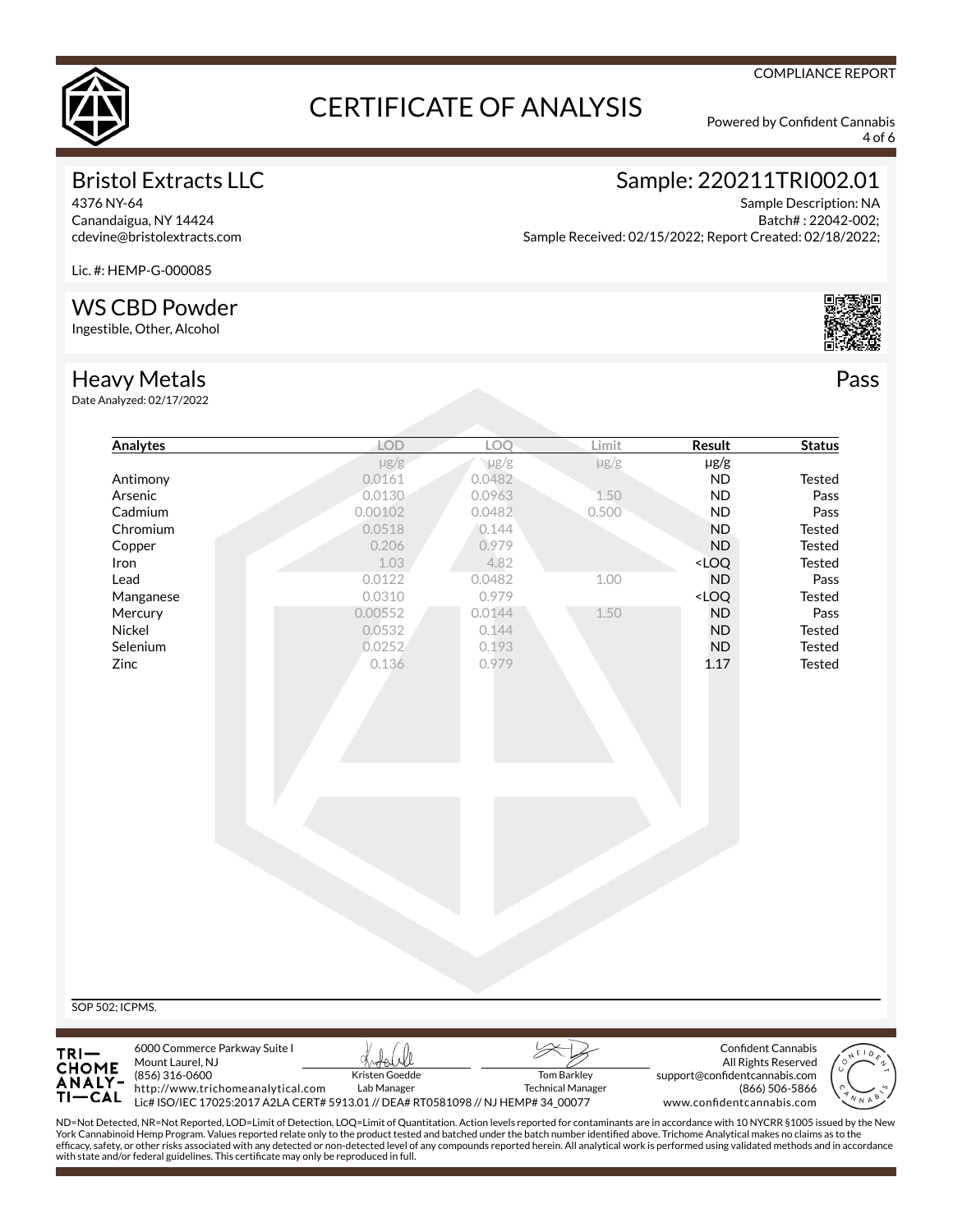

4 of 6

COMPLIANCE REPORT

# Bristol Extracts LLC

4376 NY-64 Canandaigua, NY 14424 cdevine@bristolextracts.com

# Sample: 220211TRI002.01

Sample Description: NA Batch# : 22042-002; Sample Received: 02/15/2022; Report Created: 02/18/2022;

Lic. #: HEMP-G-000085

## WS CBD Powder

Ingestible, Other, Alcohol

## Heavy Metals

Date Analyzed: 02/17/2022

| <b>Analytes</b> | LOD       | LOQ       | Limit     | <b>Result</b>                             | <b>Status</b> |
|-----------------|-----------|-----------|-----------|-------------------------------------------|---------------|
|                 | $\mu$ g/g | $\mu$ g/g | $\mu$ g/g | µg/g                                      |               |
| Antimony        | 0.0161    | 0.0482    |           | <b>ND</b>                                 | Tested        |
| Arsenic         | 0.0130    | 0.0963    | 1.50      | <b>ND</b>                                 | Pass          |
| Cadmium         | 0.00102   | 0.0482    | 0.500     | <b>ND</b>                                 | Pass          |
| Chromium        | 0.0518    | 0.144     |           | <b>ND</b>                                 | Tested        |
| Copper          | 0.206     | 0.979     |           | <b>ND</b>                                 | Tested        |
| Iron            | 1.03      | 4.82      |           | <loq< td=""><td>Tested</td></loq<>        | Tested        |
| Lead            | 0.0122    | 0.0482    | 1.00      | <b>ND</b>                                 | Pass          |
| Manganese       | 0.0310    | 0.979     |           | <loq< td=""><td><b>Tested</b></td></loq<> | <b>Tested</b> |
| Mercury         | 0.00552   | 0.0144    | 1.50      | <b>ND</b>                                 | Pass          |
| Nickel          | 0.0532    | 0.144     |           | <b>ND</b>                                 | <b>Tested</b> |
| Selenium        | 0.0252    | 0.193     |           | <b>ND</b>                                 | Tested        |
| Zinc            | 0.136     | 0.979     |           | 1.17                                      | Tested        |
|                 |           |           |           |                                           |               |
|                 |           |           |           |                                           |               |
|                 |           |           |           |                                           |               |
|                 |           |           |           |                                           |               |
|                 |           |           |           |                                           |               |
|                 |           |           |           |                                           |               |
|                 |           |           |           |                                           |               |



ND=Not Detected, NR=Not Reported, LOD=Limit of Detection, LOQ=Limit of Quantitation. Action levels reported for contaminants are in accordance with 10 NYCRR §1005 issued by the New<br>York Cannabinoid Hemp Program. Values rep efcacy, safety, or other risks associated with any detected or non-detected level of any compounds reported herein. All analytical work is performed using validated methods and in accordance with state and/or federal guidelines. This certificate may only be reproduced in full.



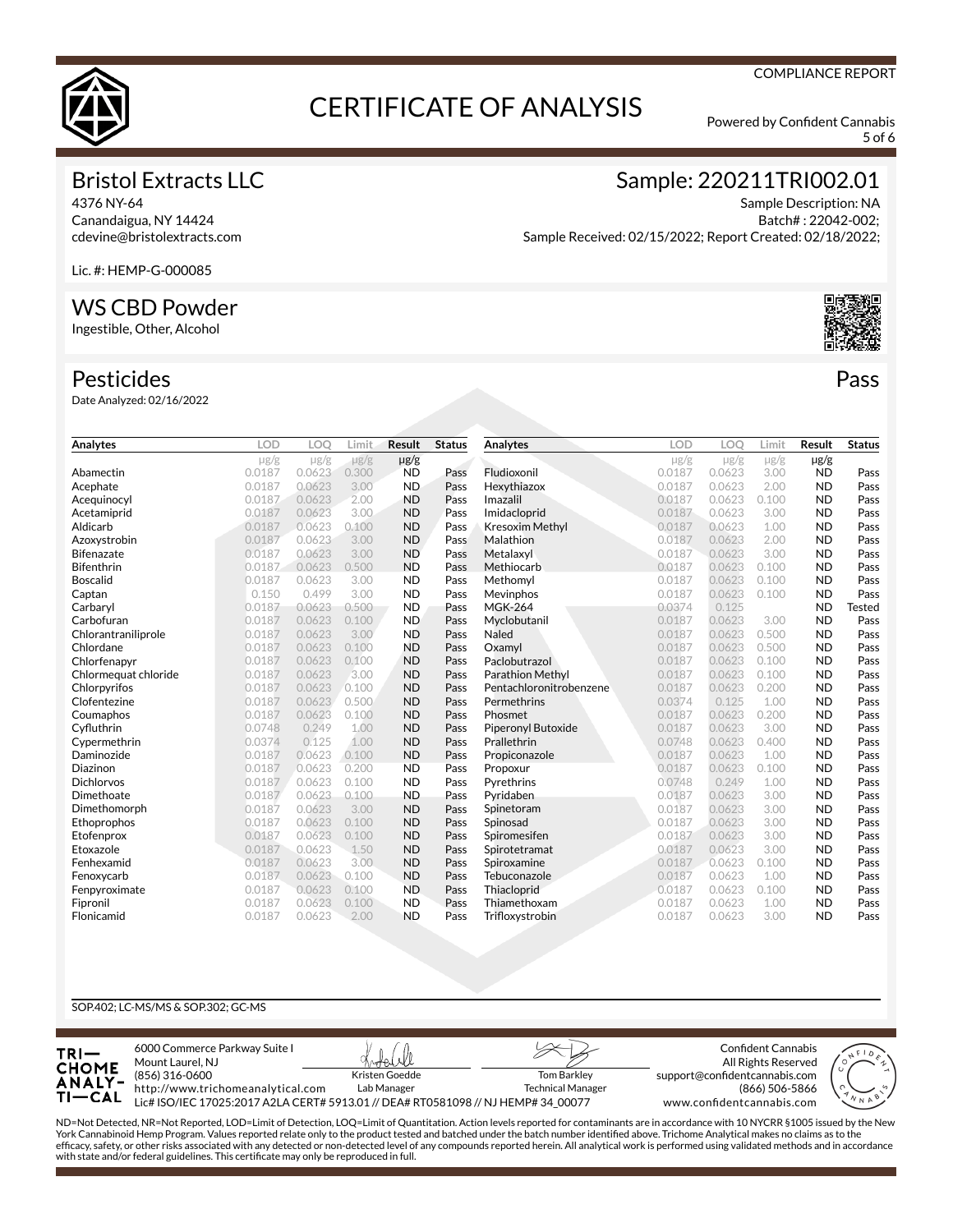

5 of 6

# Bristol Extracts LLC

4376 NY-64 Canandaigua, NY 14424 cdevine@bristolextracts.com Sample: 220211TRI002.01

Sample Description: NA Batch# : 22042-002; Sample Received: 02/15/2022; Report Created: 02/18/2022;

Lic. #: HEMP-G-000085

# WS CBD Powder

Ingestible, Other, Alcohol

#### Pesticides

Date Analyzed: 02/16/2022

| Analytes             | <b>LOD</b> | LOO       | Limit     | <b>Result</b> | <b>Status</b> | Analytes                | <b>LOD</b> | LOO       | Limit     | Result    | <b>Status</b> |
|----------------------|------------|-----------|-----------|---------------|---------------|-------------------------|------------|-----------|-----------|-----------|---------------|
|                      | $\mu$ g/g  | $\mu$ g/g | $\mu$ g/g | $\mu$ g/g     |               |                         | $\mu$ g/g  | $\mu$ g/g | $\mu$ g/g | $\mu$ g/g |               |
| Abamectin            | 0.0187     | 0.0623    | 0.300     | <b>ND</b>     | Pass          | Fludioxonil             | 0.0187     | 0.0623    | 3.00      | <b>ND</b> | Pass          |
| Acephate             | 0.0187     | 0.0623    | 3.00      | <b>ND</b>     | Pass          | Hexythiazox             | 0.0187     | 0.0623    | 2.00      | <b>ND</b> | Pass          |
| Acequinocyl          | 0.0187     | 0.0623    | 2.00      | <b>ND</b>     | Pass          | Imazalil                | 0.0187     | 0.0623    | 0.100     | <b>ND</b> | Pass          |
| Acetamiprid          | 0.0187     | 0.0623    | 3.00      | <b>ND</b>     | Pass          | Imidacloprid            | 0.0187     | 0.0623    | 3.00      | <b>ND</b> | Pass          |
| Aldicarb             | 0.0187     | 0.0623    | 0.100     | <b>ND</b>     | Pass          | <b>Kresoxim Methyl</b>  | 0.0187     | 0.0623    | 1.00      | <b>ND</b> | Pass          |
| Azoxystrobin         | 0.0187     | 0.0623    | 3.00      | <b>ND</b>     | Pass          | Malathion               | 0.0187     | 0.0623    | 2.00      | <b>ND</b> | Pass          |
| <b>Bifenazate</b>    | 0.0187     | 0.0623    | 3.00      | <b>ND</b>     | Pass          | Metalaxyl               | 0.0187     | 0.0623    | 3.00      | <b>ND</b> | Pass          |
| <b>Bifenthrin</b>    | 0.0187     | 0.0623    | 0.500     | <b>ND</b>     | Pass          | Methiocarb              | 0.0187     | 0.0623    | 0.100     | <b>ND</b> | Pass          |
| <b>Boscalid</b>      | 0.0187     | 0.0623    | 3.00      | <b>ND</b>     | Pass          | Methomyl                | 0.0187     | 0.0623    | 0.100     | <b>ND</b> | Pass          |
| Captan               | 0.150      | 0.499     | 3.00      | <b>ND</b>     | Pass          | Mevinphos               | 0.0187     | 0.0623    | 0.100     | <b>ND</b> | Pass          |
| Carbaryl             | 0.0187     | 0.0623    | 0.500     | <b>ND</b>     | Pass          | <b>MGK-264</b>          | 0.0374     | 0.125     |           | <b>ND</b> | <b>Tested</b> |
| Carbofuran           | 0.0187     | 0.0623    | 0.100     | <b>ND</b>     | Pass          | Myclobutanil            | 0.0187     | 0.0623    | 3.00      | <b>ND</b> | Pass          |
| Chlorantraniliprole  | 0.0187     | 0.0623    | 3.00      | <b>ND</b>     | Pass          | Naled                   | 0.0187     | 0.0623    | 0.500     | <b>ND</b> | Pass          |
| Chlordane            | 0.0187     | 0.0623    | 0.100     | <b>ND</b>     | Pass          | Oxamvl                  | 0.0187     | 0.0623    | 0.500     | <b>ND</b> | Pass          |
| Chlorfenapyr         | 0.0187     | 0.0623    | 0.100     | <b>ND</b>     | Pass          | Paclobutrazol           | 0.0187     | 0.0623    | 0.100     | <b>ND</b> | Pass          |
| Chlormequat chloride | 0.0187     | 0.0623    | 3.00      | <b>ND</b>     | Pass          | <b>Parathion Methyl</b> | 0.0187     | 0.0623    | 0.100     | <b>ND</b> | Pass          |
| Chlorpyrifos         | 0.0187     | 0.0623    | 0.100     | <b>ND</b>     | Pass          | Pentachloronitrobenzene | 0.0187     | 0.0623    | 0.200     | <b>ND</b> | Pass          |
| Clofentezine         | 0.0187     | 0.0623    | 0.500     | <b>ND</b>     | Pass          | Permethrins             | 0.0374     | 0.125     | 1.00      | <b>ND</b> | Pass          |
| Coumaphos            | 0.0187     | 0.0623    | 0.100     | <b>ND</b>     | Pass          | Phosmet                 | 0.0187     | 0.0623    | 0.200     | <b>ND</b> | Pass          |
| Cyfluthrin           | 0.0748     | 0.249     | 1.00      | <b>ND</b>     | Pass          | Piperonyl Butoxide      | 0.0187     | 0.0623    | 3.00      | <b>ND</b> | Pass          |
| Cypermethrin         | 0.0374     | 0.125     | 1.00      | <b>ND</b>     | Pass          | Prallethrin             | 0.0748     | 0.0623    | 0.400     | <b>ND</b> | Pass          |
| Daminozide           | 0.0187     | 0.0623    | 0.100     | <b>ND</b>     | Pass          | Propiconazole           | 0.0187     | 0.0623    | 1.00      | <b>ND</b> | Pass          |
| Diazinon             | 0.0187     | 0.0623    | 0.200     | <b>ND</b>     | Pass          | Propoxur                | 0.0187     | 0.0623    | 0.100     | <b>ND</b> | Pass          |
| <b>Dichlorvos</b>    | 0.0187     | 0.0623    | 0.100     | <b>ND</b>     | Pass          | Pyrethrins              | 0.0748     | 0.249     | 1.00      | <b>ND</b> | Pass          |
| Dimethoate           | 0.0187     | 0.0623    | 0.100     | <b>ND</b>     | Pass          | Pyridaben               | 0.0187     | 0.0623    | 3.00      | <b>ND</b> | Pass          |
| Dimethomorph         | 0.0187     | 0.0623    | 3.00      | <b>ND</b>     | Pass          | Spinetoram              | 0.0187     | 0.0623    | 3.00      | <b>ND</b> | Pass          |
| Ethoprophos          | 0.0187     | 0.0623    | 0.100     | <b>ND</b>     | Pass          | Spinosad                | 0.0187     | 0.0623    | 3.00      | <b>ND</b> | Pass          |
| Etofenprox           | 0.0187     | 0.0623    | 0.100     | <b>ND</b>     | Pass          | Spiromesifen            | 0.0187     | 0.0623    | 3.00      | <b>ND</b> | Pass          |
| Etoxazole            | 0.0187     | 0.0623    | 1.50      | <b>ND</b>     | Pass          | Spirotetramat           | 0.0187     | 0.0623    | 3.00      | <b>ND</b> | Pass          |
| Fenhexamid           | 0.0187     | 0.0623    | 3.00      | <b>ND</b>     | Pass          | Spiroxamine             | 0.0187     | 0.0623    | 0.100     | <b>ND</b> | Pass          |
| Fenoxycarb           | 0.0187     | 0.0623    | 0.100     | <b>ND</b>     | Pass          | Tebuconazole            | 0.0187     | 0.0623    | 1.00      | <b>ND</b> | Pass          |
| Fenpyroximate        | 0.0187     | 0.0623    | 0.100     | <b>ND</b>     | Pass          | Thiacloprid             | 0.0187     | 0.0623    | 0.100     | <b>ND</b> | Pass          |
| Fipronil             | 0.0187     | 0.0623    | 0.100     | <b>ND</b>     | Pass          | Thiamethoxam            | 0.0187     | 0.0623    | 1.00      | <b>ND</b> | Pass          |
| Flonicamid           | 0.0187     | 0.0623    | 2.00      | <b>ND</b>     | Pass          | Trifloxystrobin         | 0.0187     | 0.0623    | 3.00      | <b>ND</b> | Pass          |

#### SOP.402; LC-MS/MS & SOP.302; GC-MS



ND=Not Detected, NR=Not Reported, LOD=Limit of Detection, LOQ=Limit of Quantitation. Action levels reported for contaminants are in accordance with 10 NYCRR §1005 issued by the New<br>York Cannabinoid Hemp Program. Values rep efcacy, safety, or other risks associated with any detected or non-detected level of any compounds reported herein. All analytical work is performed using validated methods and in accordance with state and/or federal guidelines. This certificate may only be reproduced in full.



Pass

#### COMPLIANCE REPORT